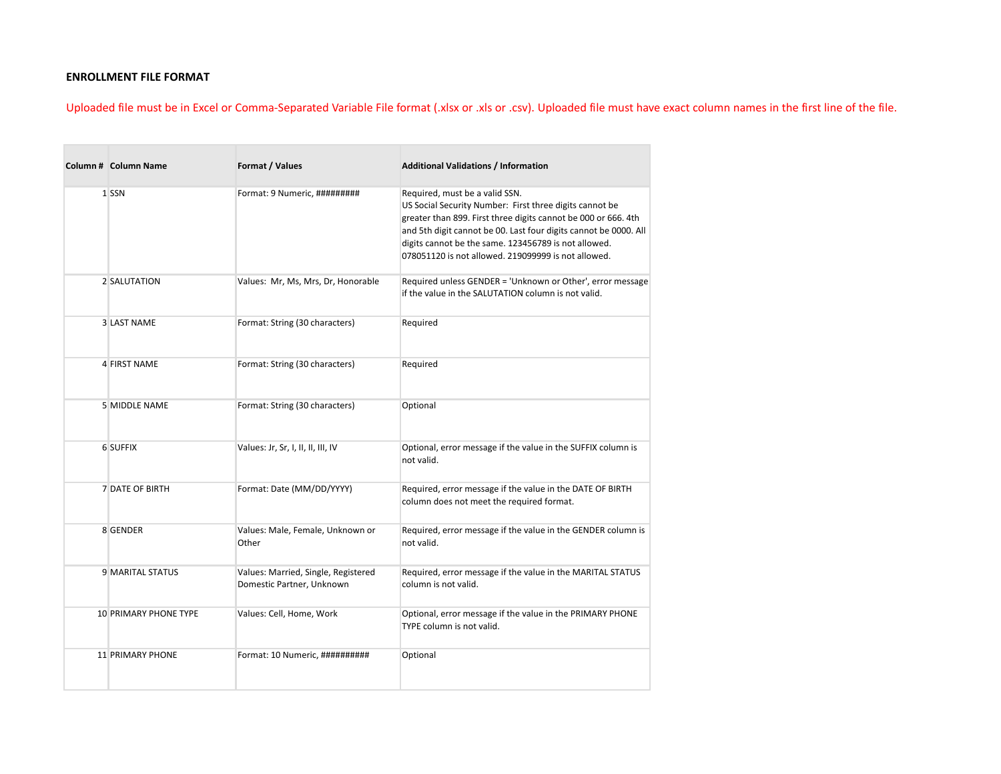## **ENROLLMENT FILE FORMAT**

Uploaded file must be in Excel or Comma-Separated Variable File format (.xlsx or .xls or .csv). Uploaded file must have exact column names in the first line of the file.

| <b>Column # Column Name</b>  | Format / Values                                                  | <b>Additional Validations / Information</b>                                                                                                                                                                                                                                                                                                    |  |  |  |  |  |
|------------------------------|------------------------------------------------------------------|------------------------------------------------------------------------------------------------------------------------------------------------------------------------------------------------------------------------------------------------------------------------------------------------------------------------------------------------|--|--|--|--|--|
| 1 SSN                        | Format: 9 Numeric, #########                                     | Required, must be a valid SSN.<br>US Social Security Number: First three digits cannot be<br>greater than 899. First three digits cannot be 000 or 666. 4th<br>and 5th digit cannot be 00. Last four digits cannot be 0000. All<br>digits cannot be the same. 123456789 is not allowed.<br>078051120 is not allowed. 219099999 is not allowed. |  |  |  |  |  |
| 2 SALUTATION                 | Values: Mr, Ms, Mrs, Dr, Honorable                               | Required unless GENDER = 'Unknown or Other', error message<br>if the value in the SALUTATION column is not valid.                                                                                                                                                                                                                              |  |  |  |  |  |
| <b>3 LAST NAME</b>           | Format: String (30 characters)                                   | Required                                                                                                                                                                                                                                                                                                                                       |  |  |  |  |  |
| 4 FIRST NAME                 | Format: String (30 characters)                                   | Required                                                                                                                                                                                                                                                                                                                                       |  |  |  |  |  |
| 5 MIDDLE NAME                | Format: String (30 characters)                                   | Optional                                                                                                                                                                                                                                                                                                                                       |  |  |  |  |  |
| 6 SUFFIX                     | Values: Jr, Sr, I, II, II, III, IV                               | Optional, error message if the value in the SUFFIX column is<br>not valid.                                                                                                                                                                                                                                                                     |  |  |  |  |  |
| <b>7 DATE OF BIRTH</b>       | Format: Date (MM/DD/YYYY)                                        | Required, error message if the value in the DATE OF BIRTH<br>column does not meet the required format.                                                                                                                                                                                                                                         |  |  |  |  |  |
| 8 GENDER                     | Values: Male, Female, Unknown or<br>Other                        | Required, error message if the value in the GENDER column is<br>not valid.                                                                                                                                                                                                                                                                     |  |  |  |  |  |
| 9 MARITAL STATUS             | Values: Married, Single, Registered<br>Domestic Partner, Unknown | Required, error message if the value in the MARITAL STATUS<br>column is not valid.                                                                                                                                                                                                                                                             |  |  |  |  |  |
| <b>10 PRIMARY PHONE TYPE</b> | Values: Cell, Home, Work                                         | Optional, error message if the value in the PRIMARY PHONE<br>TYPE column is not valid.                                                                                                                                                                                                                                                         |  |  |  |  |  |
| <b>11 PRIMARY PHONE</b>      | Format: 10 Numeric, ##########                                   | Optional                                                                                                                                                                                                                                                                                                                                       |  |  |  |  |  |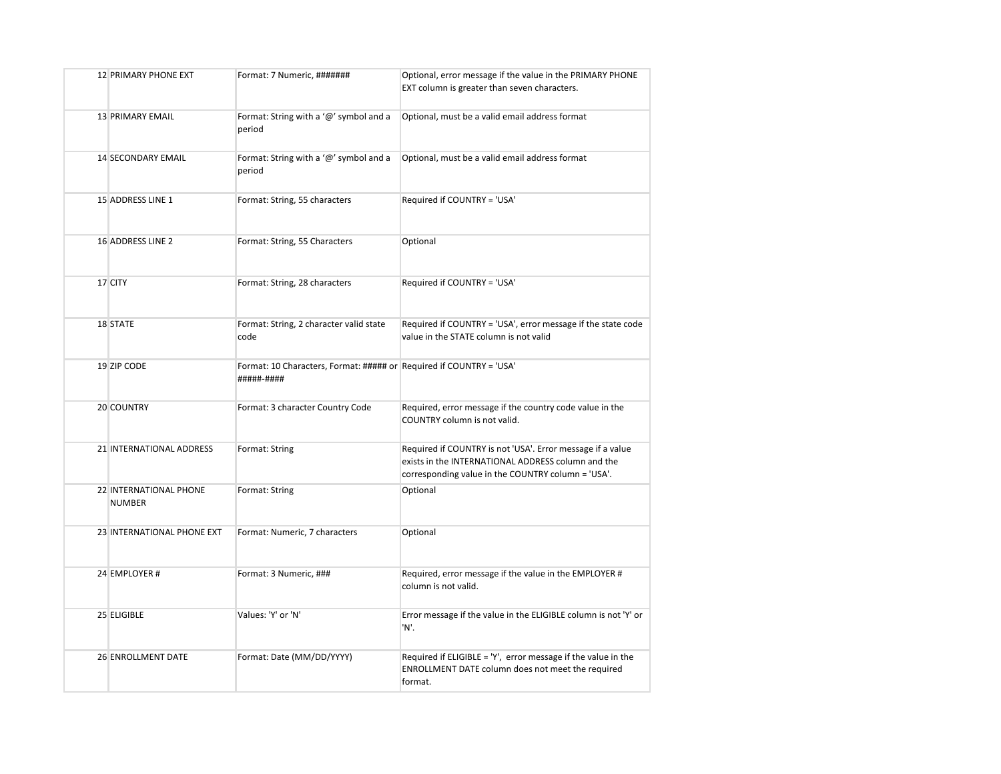| <b>12 PRIMARY PHONE EXT</b>             | Format: 7 Numeric, #######                                                        | Optional, error message if the value in the PRIMARY PHONE<br>EXT column is greater than seven characters.                                                              |  |  |  |  |
|-----------------------------------------|-----------------------------------------------------------------------------------|------------------------------------------------------------------------------------------------------------------------------------------------------------------------|--|--|--|--|
| 13 PRIMARY EMAIL                        | Format: String with a '@' symbol and a<br>period                                  | Optional, must be a valid email address format                                                                                                                         |  |  |  |  |
| <b>14 SECONDARY EMAIL</b>               | Format: String with a '@' symbol and a<br>period                                  | Optional, must be a valid email address format                                                                                                                         |  |  |  |  |
| 15 ADDRESS LINE 1                       | Format: String, 55 characters                                                     | Required if COUNTRY = 'USA'                                                                                                                                            |  |  |  |  |
| 16 ADDRESS LINE 2                       | Format: String, 55 Characters                                                     | Optional                                                                                                                                                               |  |  |  |  |
| 17 CITY                                 | Format: String, 28 characters                                                     | Required if COUNTRY = 'USA'                                                                                                                                            |  |  |  |  |
| 18 STATE                                | Format: String, 2 character valid state<br>code                                   | Required if COUNTRY = 'USA', error message if the state code<br>value in the STATE column is not valid                                                                 |  |  |  |  |
| 19 ZIP CODE                             | Format: 10 Characters, Format: ##### or Required if COUNTRY = 'USA'<br>#####-#### |                                                                                                                                                                        |  |  |  |  |
| 20 COUNTRY                              | Format: 3 character Country Code                                                  | Required, error message if the country code value in the<br>COUNTRY column is not valid.                                                                               |  |  |  |  |
| 21 INTERNATIONAL ADDRESS                | Format: String                                                                    | Required if COUNTRY is not 'USA'. Error message if a value<br>exists in the INTERNATIONAL ADDRESS column and the<br>corresponding value in the COUNTRY column = 'USA'. |  |  |  |  |
| 22 INTERNATIONAL PHONE<br><b>NUMBER</b> | Format: String                                                                    | Optional                                                                                                                                                               |  |  |  |  |
| 23 INTERNATIONAL PHONE EXT              | Format: Numeric, 7 characters                                                     | Optional                                                                                                                                                               |  |  |  |  |
| 24 EMPLOYER #                           | Format: 3 Numeric, ###                                                            | Required, error message if the value in the EMPLOYER #<br>column is not valid.                                                                                         |  |  |  |  |
| 25 ELIGIBLE                             | Values: 'Y' or 'N'                                                                | Error message if the value in the ELIGIBLE column is not 'Y' or<br>'N'.                                                                                                |  |  |  |  |
| <b>26 ENROLLMENT DATE</b>               | Format: Date (MM/DD/YYYY)                                                         | Required if ELIGIBLE = 'Y', error message if the value in the<br>ENROLLMENT DATE column does not meet the required<br>format.                                          |  |  |  |  |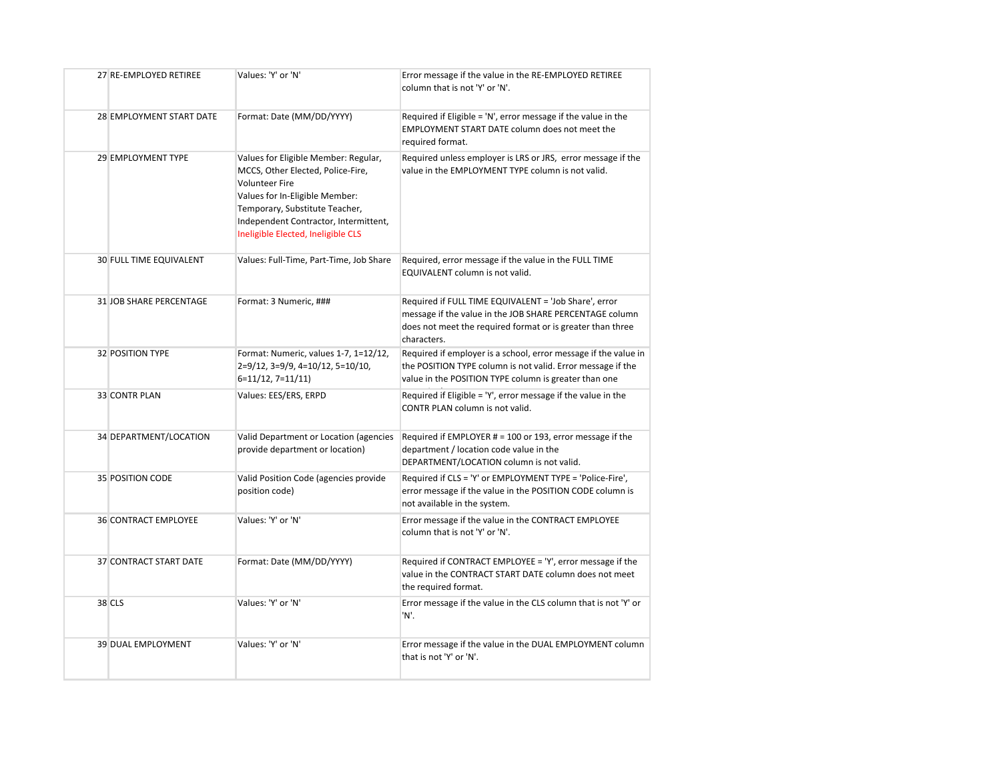| 27 RE-EMPLOYED RETIREE         | Values: 'Y' or 'N'                                                                                                                                                                                                                                    | Error message if the value in the RE-EMPLOYED RETIREE<br>column that is not 'Y' or 'N'.                                                                                                       |
|--------------------------------|-------------------------------------------------------------------------------------------------------------------------------------------------------------------------------------------------------------------------------------------------------|-----------------------------------------------------------------------------------------------------------------------------------------------------------------------------------------------|
| 28 EMPLOYMENT START DATE       | Format: Date (MM/DD/YYYY)                                                                                                                                                                                                                             | Required if Eligible = 'N', error message if the value in the<br><b>EMPLOYMENT START DATE column does not meet the</b><br>required format.                                                    |
| 29 EMPLOYMENT TYPE             | Values for Eligible Member: Regular,<br>MCCS, Other Elected, Police-Fire,<br><b>Volunteer Fire</b><br>Values for In-Eligible Member:<br>Temporary, Substitute Teacher,<br>Independent Contractor, Intermittent,<br>Ineligible Elected, Ineligible CLS | Required unless employer is LRS or JRS, error message if the<br>value in the EMPLOYMENT TYPE column is not valid.                                                                             |
| <b>30 FULL TIME EQUIVALENT</b> | Values: Full-Time, Part-Time, Job Share                                                                                                                                                                                                               | Required, error message if the value in the FULL TIME<br>EQUIVALENT column is not valid.                                                                                                      |
| <b>31 JOB SHARE PERCENTAGE</b> | Format: 3 Numeric, ###                                                                                                                                                                                                                                | Required if FULL TIME EQUIVALENT = 'Job Share', error<br>message if the value in the JOB SHARE PERCENTAGE column<br>does not meet the required format or is greater than three<br>characters. |
| 32 POSITION TYPE               | Format: Numeric, values 1-7, 1=12/12,<br>2=9/12, 3=9/9, 4=10/12, 5=10/10,<br>$6=11/12, 7=11/11$                                                                                                                                                       | Required if employer is a school, error message if the value in<br>the POSITION TYPE column is not valid. Error message if the<br>value in the POSITION TYPE column is greater than one       |
| <b>33 CONTR PLAN</b>           | Values: EES/ERS, ERPD                                                                                                                                                                                                                                 | Required if Eligible = 'Y', error message if the value in the<br>CONTR PLAN column is not valid.                                                                                              |
| 34 DEPARTMENT/LOCATION         | Valid Department or Location (agencies<br>provide department or location)                                                                                                                                                                             | Required if EMPLOYER # = 100 or 193, error message if the<br>department / location code value in the<br>DEPARTMENT/LOCATION column is not valid.                                              |
| 35 POSITION CODE               | Valid Position Code (agencies provide<br>position code)                                                                                                                                                                                               | Required if CLS = 'Y' or EMPLOYMENT TYPE = 'Police-Fire',<br>error message if the value in the POSITION CODE column is<br>not available in the system.                                        |
| <b>36 CONTRACT EMPLOYEE</b>    | Values: 'Y' or 'N'                                                                                                                                                                                                                                    | Error message if the value in the CONTRACT EMPLOYEE<br>column that is not 'Y' or 'N'.                                                                                                         |
| 37 CONTRACT START DATE         | Format: Date (MM/DD/YYYY)                                                                                                                                                                                                                             | Required if CONTRACT EMPLOYEE = 'Y', error message if the<br>value in the CONTRACT START DATE column does not meet<br>the required format.                                                    |
| <b>38 CLS</b>                  | Values: 'Y' or 'N'                                                                                                                                                                                                                                    | Error message if the value in the CLS column that is not 'Y' or<br>'N'.                                                                                                                       |
| <b>39 DUAL EMPLOYMENT</b>      | Values: 'Y' or 'N'                                                                                                                                                                                                                                    | Error message if the value in the DUAL EMPLOYMENT column<br>that is not 'Y' or 'N'.                                                                                                           |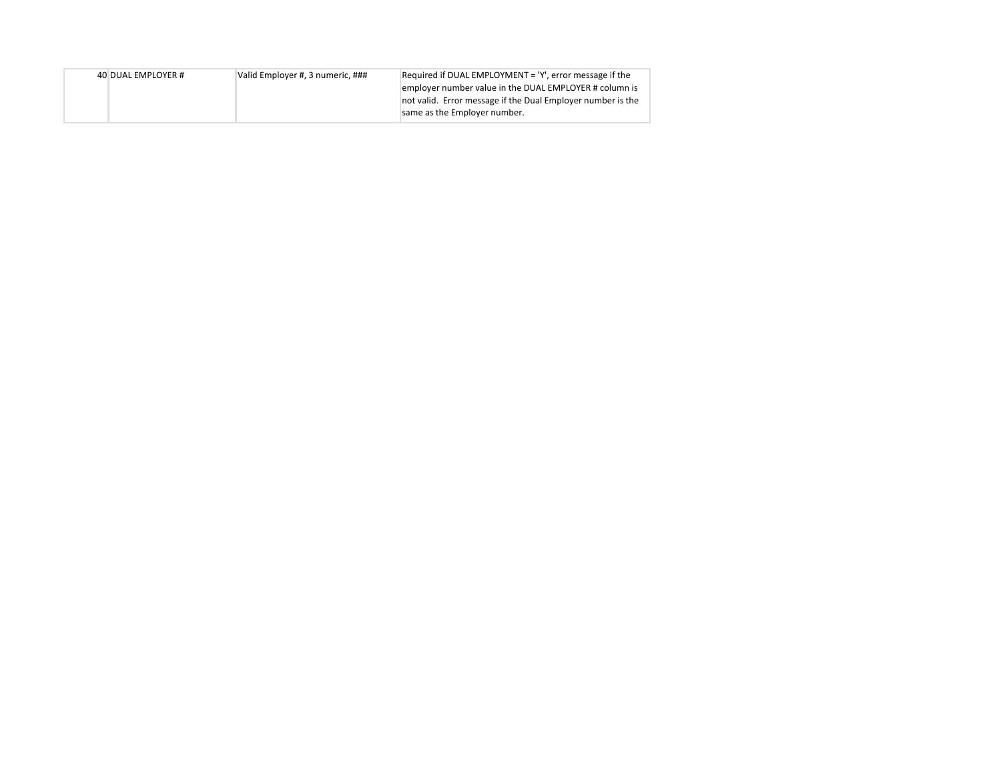| 40 DUAL EMPLOYER # | Valid Employer #, 3 numeric, ### | Required if DUAL EMPLOYMENT = 'Y', error message if the     |
|--------------------|----------------------------------|-------------------------------------------------------------|
|                    |                                  | employer number value in the DUAL EMPLOYER # column is      |
|                    |                                  | not valid. Error message if the Dual Employer number is the |
|                    |                                  | same as the Employer number.                                |